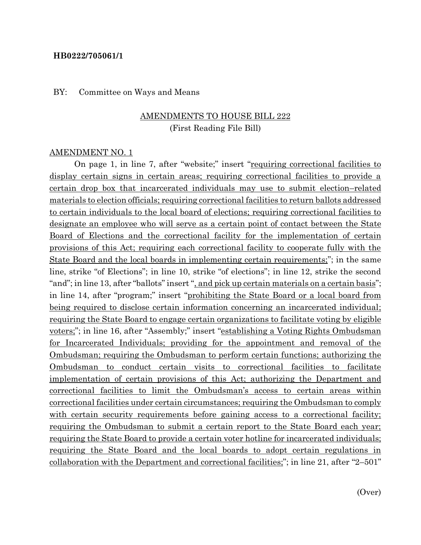#### **HB0222/705061/1**

#### BY: Committee on Ways and Means

### AMENDMENTS TO HOUSE BILL 222 (First Reading File Bill)

#### AMENDMENT NO. 1

On page 1, in line 7, after "website;" insert "<u>requiring correctional facilities to</u> display certain signs in certain areas; requiring correctional facilities to provide a certain drop box that incarcerated individuals may use to submit election–related materials to election officials; requiring correctional facilities to return ballots addressed to certain individuals to the local board of elections; requiring correctional facilities to designate an employee who will serve as a certain point of contact between the State Board of Elections and the correctional facility for the implementation of certain provisions of this Act; requiring each correctional facility to cooperate fully with the State Board and the local boards in implementing certain requirements;"; in the same line, strike "of Elections"; in line 10, strike "of elections"; in line 12, strike the second "and"; in line 13, after "ballots" insert ", and pick up certain materials on a certain basis"; in line 14, after "program;" insert "prohibiting the State Board or a local board from being required to disclose certain information concerning an incarcerated individual; requiring the State Board to engage certain organizations to facilitate voting by eligible voters;"; in line 16, after "Assembly;" insert "establishing a Voting Rights Ombudsman for Incarcerated Individuals; providing for the appointment and removal of the Ombudsman; requiring the Ombudsman to perform certain functions; authorizing the Ombudsman to conduct certain visits to correctional facilities to facilitate implementation of certain provisions of this Act; authorizing the Department and correctional facilities to limit the Ombudsman's access to certain areas within correctional facilities under certain circumstances; requiring the Ombudsman to comply with certain security requirements before gaining access to a correctional facility; requiring the Ombudsman to submit a certain report to the State Board each year; requiring the State Board to provide a certain voter hotline for incarcerated individuals; requiring the State Board and the local boards to adopt certain regulations in collaboration with the Department and correctional facilities;"; in line 21, after "2–501"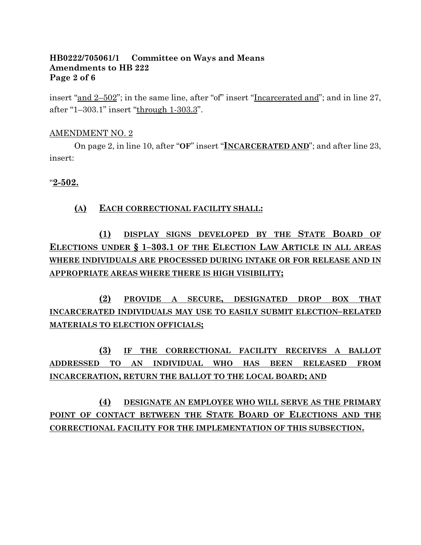#### **HB0222/705061/1 Committee on Ways and Means Amendments to HB 222 Page 2 of 6**

insert "and 2–502"; in the same line, after "of" insert "Incarcerated and"; and in line 27, after "1–303.1" insert "through 1-303.3".

#### AMENDMENT NO. 2

On page 2, in line 10, after "**OF**" insert "**INCARCERATED AND**"; and after line 23, insert:

### "**2-502.**

### **(A) EACH CORRECTIONAL FACILITY SHALL:**

**(1) DISPLAY SIGNS DEVELOPED BY THE STATE BOARD OF ELECTIONS UNDER § 1–303.1 OF THE ELECTION LAW ARTICLE IN ALL AREAS WHERE INDIVIDUALS ARE PROCESSED DURING INTAKE OR FOR RELEASE AND IN APPROPRIATE AREAS WHERE THERE IS HIGH VISIBILITY;**

**(2) PROVIDE A SECURE, DESIGNATED DROP BOX THAT INCARCERATED INDIVIDUALS MAY USE TO EASILY SUBMIT ELECTION–RELATED MATERIALS TO ELECTION OFFICIALS;**

**(3) IF THE CORRECTIONAL FACILITY RECEIVES A BALLOT ADDRESSED TO AN INDIVIDUAL WHO HAS BEEN RELEASED FROM INCARCERATION, RETURN THE BALLOT TO THE LOCAL BOARD; AND**

**(4) DESIGNATE AN EMPLOYEE WHO WILL SERVE AS THE PRIMARY POINT OF CONTACT BETWEEN THE STATE BOARD OF ELECTIONS AND THE CORRECTIONAL FACILITY FOR THE IMPLEMENTATION OF THIS SUBSECTION.**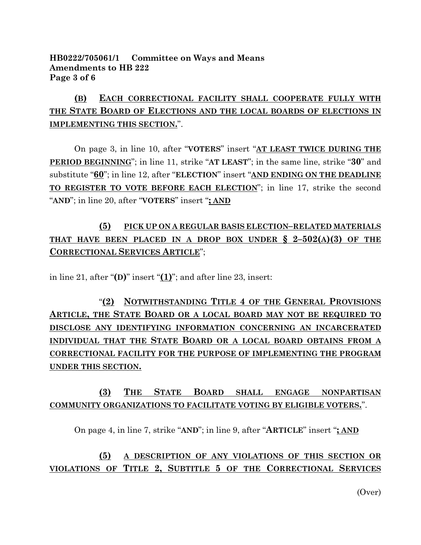### **HB0222/705061/1 Committee on Ways and Means Amendments to HB 222 Page 3 of 6**

# **(B) EACH CORRECTIONAL FACILITY SHALL COOPERATE FULLY WITH THE STATE BOARD OF ELECTIONS AND THE LOCAL BOARDS OF ELECTIONS IN IMPLEMENTING THIS SECTION.**".

On page 3, in line 10, after "**VOTERS**" insert "**AT LEAST TWICE DURING THE PERIOD BEGINNING**"; in line 11, strike "**AT LEAST**"; in the same line, strike "**30**" and substitute "**60**"; in line 12, after "**ELECTION**" insert "**AND ENDING ON THE DEADLINE TO REGISTER TO VOTE BEFORE EACH ELECTION**"; in line 17, strike the second "**AND**"; in line 20, after "**VOTERS**" insert "**; AND**

## **(5) PICK UP ON A REGULAR BASIS ELECTION–RELATED MATERIALS THAT HAVE BEEN PLACED IN A DROP BOX UNDER**  $\frac{6}{5}$  **2-502(A)(3) OF THE CORRECTIONAL SERVICES ARTICLE**";

in line 21, after "**(D)**" insert "**(1)**"; and after line 23, insert:

"**(2) NOTWITHSTANDING TITLE 4 OF THE GENERAL PROVISIONS ARTICLE, THE STATE BOARD OR A LOCAL BOARD MAY NOT BE REQUIRED TO DISCLOSE ANY IDENTIFYING INFORMATION CONCERNING AN INCARCERATED INDIVIDUAL THAT THE STATE BOARD OR A LOCAL BOARD OBTAINS FROM A CORRECTIONAL FACILITY FOR THE PURPOSE OF IMPLEMENTING THE PROGRAM UNDER THIS SECTION.**

## **(3) THE STATE BOARD SHALL ENGAGE NONPARTISAN COMMUNITY ORGANIZATIONS TO FACILITATE VOTING BY ELIGIBLE VOTERS.**".

On page 4, in line 7, strike "**AND**"; in line 9, after "**ARTICLE**" insert "**; AND**

### **(5) A DESCRIPTION OF ANY VIOLATIONS OF THIS SECTION OR VIOLATIONS OF TITLE 2, SUBTITLE 5 OF THE CORRECTIONAL SERVICES**

(Over)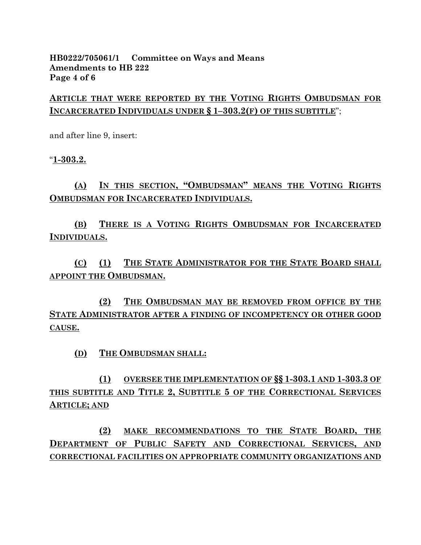### **HB0222/705061/1 Committee on Ways and Means Amendments to HB 222 Page 4 of 6**

**ARTICLE THAT WERE REPORTED BY THE VOTING RIGHTS OMBUDSMAN FOR INCARCERATED INDIVIDUALS UNDER § 1–303.2(F) OF THIS SUBTITLE**";

and after line 9, insert:

"**1-303.2.**

## **(A) IN THIS SECTION, "OMBUDSMAN" MEANS THE VOTING RIGHTS OMBUDSMAN FOR INCARCERATED INDIVIDUALS.**

**(B) THERE IS A VOTING RIGHTS OMBUDSMAN FOR INCARCERATED INDIVIDUALS.**

**(C) (1) THE STATE ADMINISTRATOR FOR THE STATE BOARD SHALL APPOINT THE OMBUDSMAN.**

**(2) THE OMBUDSMAN MAY BE REMOVED FROM OFFICE BY THE STATE ADMINISTRATOR AFTER A FINDING OF INCOMPETENCY OR OTHER GOOD CAUSE.**

**(D) THE OMBUDSMAN SHALL:**

**(1) OVERSEE THE IMPLEMENTATION OF §§ 1-303.1 AND 1-303.3 OF THIS SUBTITLE AND TITLE 2, SUBTITLE 5 OF THE CORRECTIONAL SERVICES ARTICLE; AND**

**(2) MAKE RECOMMENDATIONS TO THE STATE BOARD, THE DEPARTMENT OF PUBLIC SAFETY AND CORRECTIONAL SERVICES, AND CORRECTIONAL FACILITIES ON APPROPRIATE COMMUNITY ORGANIZATIONS AND**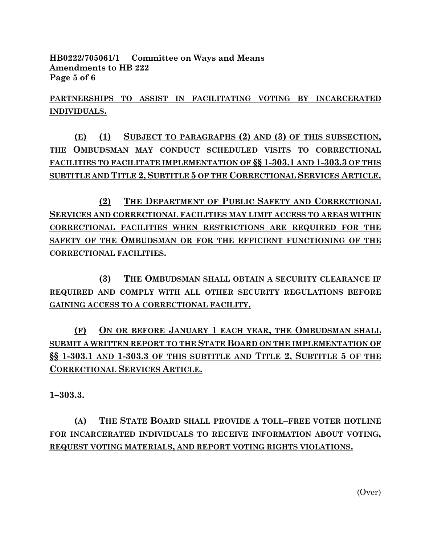**HB0222/705061/1 Committee on Ways and Means Amendments to HB 222 Page 5 of 6**

**PARTNERSHIPS TO ASSIST IN FACILITATING VOTING BY INCARCERATED INDIVIDUALS.**

**(E) (1) SUBJECT TO PARAGRAPHS (2) AND (3) OF THIS SUBSECTION, THE OMBUDSMAN MAY CONDUCT SCHEDULED VISITS TO CORRECTIONAL FACILITIES TO FACILITATE IMPLEMENTATION OF §§ 1-303.1 AND 1-303.3 OF THIS SUBTITLE AND TITLE 2, SUBTITLE 5 OF THE CORRECTIONAL SERVICES ARTICLE.**

**(2) THE DEPARTMENT OF PUBLIC SAFETY AND CORRECTIONAL SERVICES AND CORRECTIONAL FACILITIES MAY LIMIT ACCESS TO AREAS WITHIN CORRECTIONAL FACILITIES WHEN RESTRICTIONS ARE REQUIRED FOR THE SAFETY OF THE OMBUDSMAN OR FOR THE EFFICIENT FUNCTIONING OF THE CORRECTIONAL FACILITIES.**

**(3) THE OMBUDSMAN SHALL OBTAIN A SECURITY CLEARANCE IF REQUIRED AND COMPLY WITH ALL OTHER SECURITY REGULATIONS BEFORE GAINING ACCESS TO A CORRECTIONAL FACILITY.**

**(F) ON OR BEFORE JANUARY 1 EACH YEAR, THE OMBUDSMAN SHALL SUBMIT A WRITTEN REPORT TO THE STATE BOARD ON THE IMPLEMENTATION OF §§ 1-303.1 AND 1-303.3 OF THIS SUBTITLE AND TITLE 2, SUBTITLE 5 OF THE CORRECTIONAL SERVICES ARTICLE.**

**1–303.3.**

**(A) THE STATE BOARD SHALL PROVIDE A TOLL–FREE VOTER HOTLINE FOR INCARCERATED INDIVIDUALS TO RECEIVE INFORMATION ABOUT VOTING, REQUEST VOTING MATERIALS, AND REPORT VOTING RIGHTS VIOLATIONS.**

(Over)